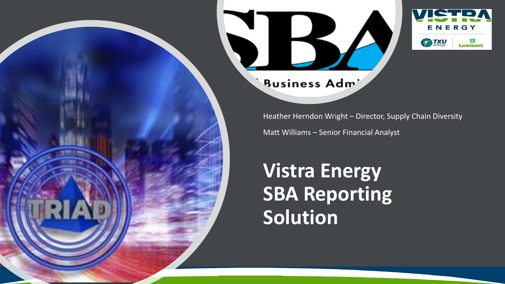

#### **Business Adm**

Heather Herndon Wright – Director, Supply Chain Diversity

Matt Williams – Senior Financial Analyst

# **Vistra Energy SBA Reporting Solution**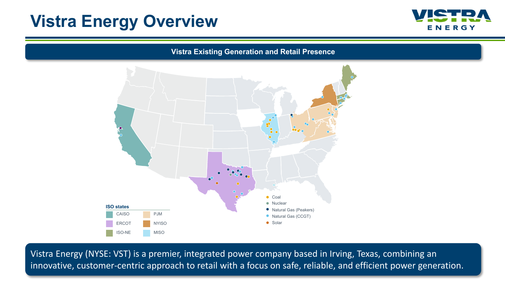### **Vistra Energy Overview**



**Vistra Existing Generation and Retail Presence**



Vistra Energy (NYSE: VST) is a premier, integrated power company based in Irving, Texas, combining an innovative, customer-centric approach to retail with a focus on safe, reliable, and efficient power generation.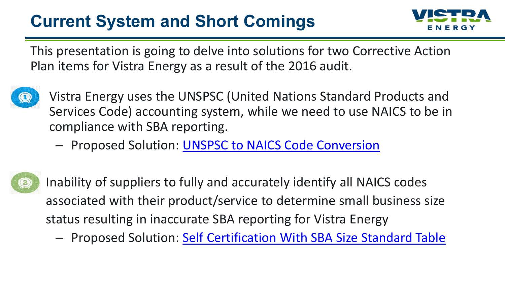## **Current System and Short Comings**



This presentation is going to delve into solutions for two Corrective Action Plan items for Vistra Energy as a result of the 2016 audit.



- Vistra Energy uses the UNSPSC (United Nations Standard Products and Services Code) accounting system, while we need to use NAICS to be in compliance with SBA reporting.
	- Proposed Solution: [UNSPSC to NAICS Code Conversion](#page-3-0)



Inability of suppliers to fully and accurately identify all NAICS codes associated with their product/service to determine small business size status resulting in inaccurate SBA reporting for Vistra Energy

– Proposed Solution: [Self Certification With SBA Size Standard Table](#page-4-0)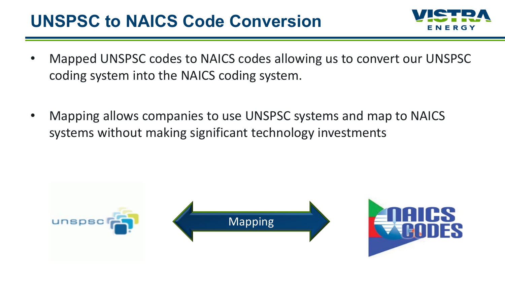#### <span id="page-3-0"></span>**UNSPSC to NAICS Code Conversion**



- Mapped UNSPSC codes to NAICS codes allowing us to convert our UNSPSC coding system into the NAICS coding system.
- Mapping allows companies to use UNSPSC systems and map to NAICS systems without making significant technology investments

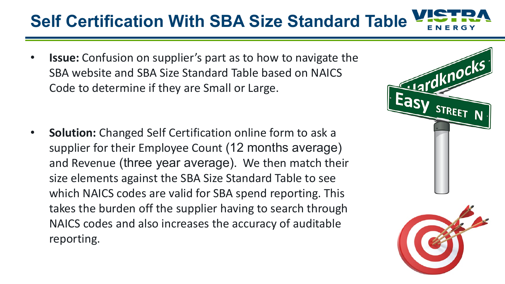## <span id="page-4-0"></span>**Self Certification With SBA Size Standard Table**

• **Issue:** Confusion on supplier's part as to how to navigate the SBA website and SBA Size Standard Table based on NAICS Code to determine if they are Small or Large.

• **Solution:** Changed Self Certification online form to ask a supplier for their Employee Count (12 months average) and Revenue (three year average). We then match their size elements against the SBA Size Standard Table to see which NAICS codes are valid for SBA spend reporting. This takes the burden off the supplier having to search through NAICS codes and also increases the accuracy of auditable reporting.